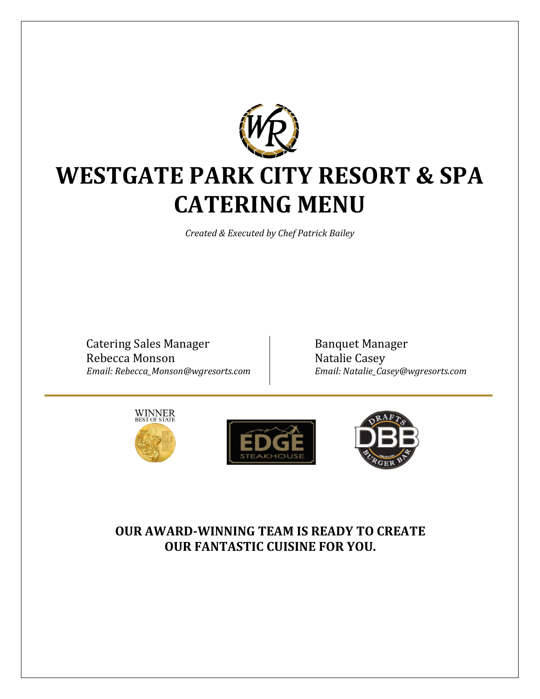

# **WESTGATE PARK CITY RESORT & SPA CATERING MENU**

*Created & Executed by Chef Patrick Bailey*

Catering Sales Manager Rebecca Monson *Email: Rebecca\_Monson@wgresorts.com*

Banquet Manager Natalie Casey *Email: Natalie\_Casey@wgresorts.com*







## **OUR AWARD-WINNING TEAM IS READY TO CREATE OUR FANTASTIC CUISINE FOR YOU.**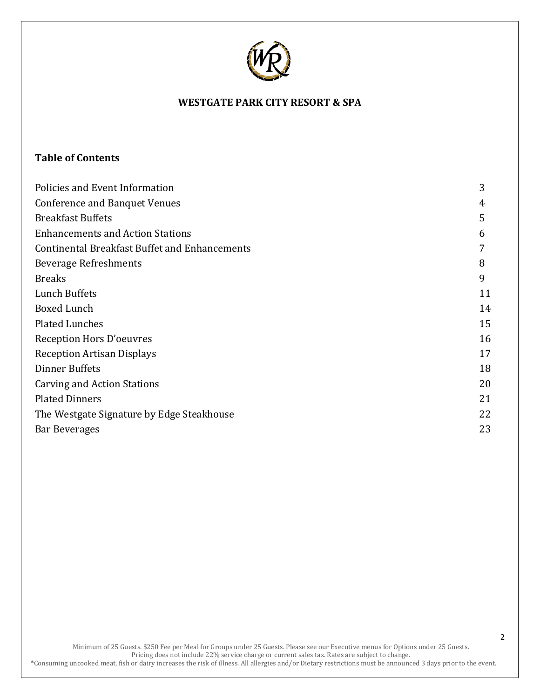

## **Table of Contents**

| Policies and Event Information                       | 3  |
|------------------------------------------------------|----|
| <b>Conference and Banquet Venues</b>                 | 4  |
| <b>Breakfast Buffets</b>                             | 5  |
| <b>Enhancements and Action Stations</b>              | 6  |
| <b>Continental Breakfast Buffet and Enhancements</b> | 7  |
| <b>Beverage Refreshments</b>                         | 8  |
| <b>Breaks</b>                                        | 9  |
| Lunch Buffets                                        | 11 |
| <b>Boxed Lunch</b>                                   | 14 |
| <b>Plated Lunches</b>                                | 15 |
| Reception Hors D'oeuvres                             | 16 |
| <b>Reception Artisan Displays</b>                    | 17 |
| Dinner Buffets                                       | 18 |
| <b>Carving and Action Stations</b>                   | 20 |
| <b>Plated Dinners</b>                                | 21 |
| The Westgate Signature by Edge Steakhouse            | 22 |
| <b>Bar Beverages</b>                                 | 23 |
|                                                      |    |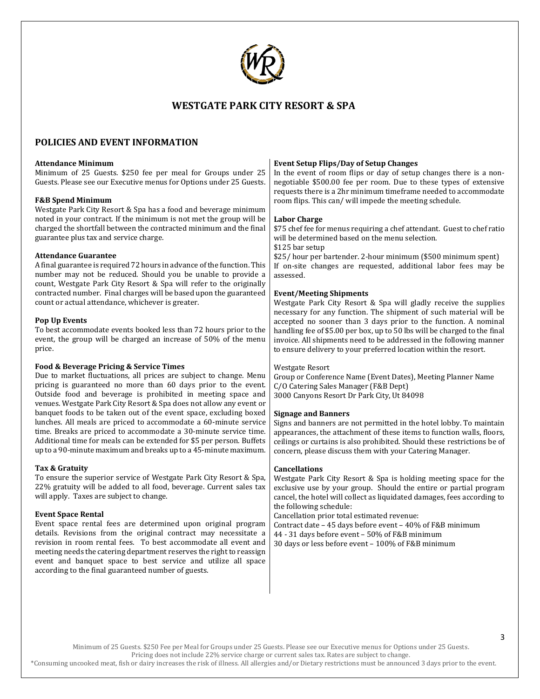

#### **POLICIES AND EVENT INFORMATION**

#### **Attendance Minimum**

Minimum of 25 Guests. \$250 fee per meal for Groups under 25 Guests. Please see our Executive menus for Options under 25 Guests.

#### **F&B Spend Minimum**

Westgate Park City Resort & Spa has a food and beverage minimum noted in your contract. If the minimum is not met the group will be charged the shortfall between the contracted minimum and the final guarantee plus tax and service charge.

#### **Attendance Guarantee**

A final guarantee is required 72 hours in advance of the function. This number may not be reduced. Should you be unable to provide a count, Westgate Park City Resort & Spa will refer to the originally contracted number. Final charges will be based upon the guaranteed count or actual attendance, whichever is greater.

#### **Pop Up Events**

To best accommodate events booked less than 72 hours prior to the event, the group will be charged an increase of 50% of the menu price.

#### **Food & Beverage Pricing & Service Times**

Due to market fluctuations, all prices are subject to change. Menu pricing is guaranteed no more than 60 days prior to the event. Outside food and beverage is prohibited in meeting space and venues. Westgate Park City Resort & Spa does not allow any event or banquet foods to be taken out of the event space, excluding boxed lunches. All meals are priced to accommodate a 60-minute service time. Breaks are priced to accommodate a 30-minute service time. Additional time for meals can be extended for \$5 per person. Buffets up to a 90-minute maximum and breaks up to a 45-minute maximum.

#### **Tax & Gratuity**

To ensure the superior service of Westgate Park City Resort & Spa, 22% gratuity will be added to all food, beverage. Current sales tax will apply. Taxes are subject to change.

#### **Event Space Rental**

Event space rental fees are determined upon original program details. Revisions from the original contract may necessitate a revision in room rental fees. To best accommodate all event and meeting needs the catering department reserves the right to reassign event and banquet space to best service and utilize all space according to the final guaranteed number of guests.

#### **Event Setup Flips/Day of Setup Changes**

In the event of room flips or day of setup changes there is a nonnegotiable \$500.00 fee per room. Due to these types of extensive requests there is a 2hr minimum timeframe needed to accommodate room flips. This can/ will impede the meeting schedule.

#### **Labor Charge**

\$75 chef fee for menus requiring a chef attendant. Guest to chef ratio will be determined based on the menu selection.

\$125 bar setup

\$25/ hour per bartender. 2-hour minimum (\$500 minimum spent) If on-site changes are requested, additional labor fees may be assessed.

#### **Event/Meeting Shipments**

Westgate Park City Resort & Spa will gladly receive the supplies necessary for any function. The shipment of such material will be accepted no sooner than 3 days prior to the function. A nominal handling fee of \$5.00 per box, up to 50 lbs will be charged to the final invoice. All shipments need to be addressed in the following manner to ensure delivery to your preferred location within the resort.

#### Westgate Resort

Group or Conference Name (Event Dates), Meeting Planner Name C/O Catering Sales Manager (F&B Dept) 3000 Canyons Resort Dr Park City, Ut 84098

#### **Signage and Banners**

Signs and banners are not permitted in the hotel lobby. To maintain appearances, the attachment of these items to function walls, floors, ceilings or curtains is also prohibited. Should these restrictions be of concern, please discuss them with your Catering Manager.

#### **Cancellations**

Westgate Park City Resort & Spa is holding meeting space for the exclusive use by your group. Should the entire or partial program cancel, the hotel will collect as liquidated damages, fees according to the following schedule:

Cancellation prior total estimated revenue:

Contract date – 45 days before event – 40% of F&B minimum 44 - 31 days before event – 50% of F&B minimum 30 days or less before event – 100% of F&B minimum

Minimum of 25 Guests. \$250 Fee per Meal for Groups under 25 Guests. Please see our Executive menus for Options under 25 Guests.

Pricing does not include 22% service charge or current sales tax. Rates are subject to change.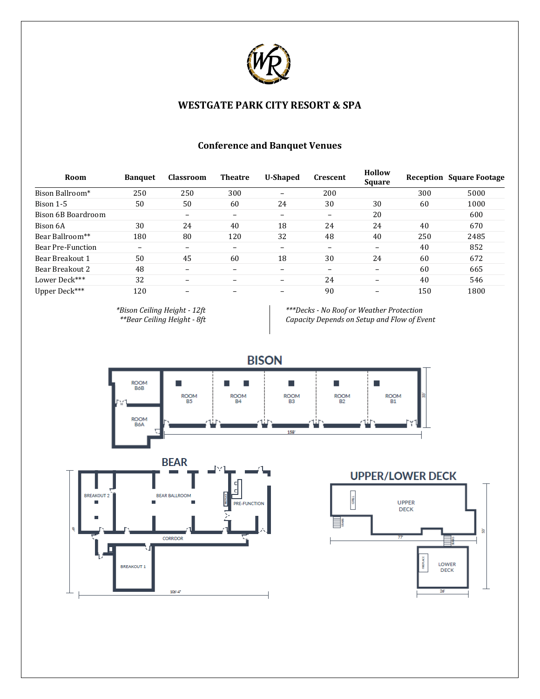

| <b>Conference and Banquet Venues</b> |  |
|--------------------------------------|--|
|--------------------------------------|--|

| Room               | <b>Banquet</b>           | <b>Classroom</b>         | <b>Theatre</b> | <b>U-Shaped</b>          | <b>Crescent</b>          | <b>Hollow</b><br><b>Square</b> |     | <b>Reception Square Footage</b> |
|--------------------|--------------------------|--------------------------|----------------|--------------------------|--------------------------|--------------------------------|-----|---------------------------------|
| Bison Ballroom*    | 250                      | 250                      | 300            | $\qquad \qquad$          | 200                      |                                | 300 | 5000                            |
| Bison 1-5          | 50                       | 50                       | 60             | 24                       | 30                       | 30                             | 60  | 1000                            |
| Bison 6B Boardroom |                          | -                        | -              | $\overline{\phantom{0}}$ | $\overline{\phantom{0}}$ | 20                             |     | 600                             |
| Bison 6A           | 30                       | 24                       | 40             | 18                       | 24                       | 24                             | 40  | 670                             |
| Bear Ballroom**    | 180                      | 80                       | 120            | 32                       | 48                       | 40                             | 250 | 2485                            |
| Bear Pre-Function  | $\overline{\phantom{0}}$ | $\overline{\phantom{0}}$ |                |                          |                          | $\qquad \qquad$                | 40  | 852                             |
| Bear Breakout 1    | 50                       | 45                       | 60             | 18                       | 30                       | 24                             | 60  | 672                             |
| Bear Breakout 2    | 48                       | $\qquad \qquad$          |                | $\overline{\phantom{0}}$ |                          | $\qquad \qquad$                | 60  | 665                             |
| Lower Deck***      | 32                       | -                        |                | $\overline{\phantom{0}}$ | 24                       | $\qquad \qquad$                | 40  | 546                             |
| Upper Deck***      | 120                      | -                        |                |                          | 90                       |                                | 150 | 1800                            |

*\*Bison Ceiling Height - 12ft \*\*Bear Ceiling Height - 8ft*

*\*\*\*Decks - No Roof or Weather Protection Capacity Depends on Setup and Flow of Event*

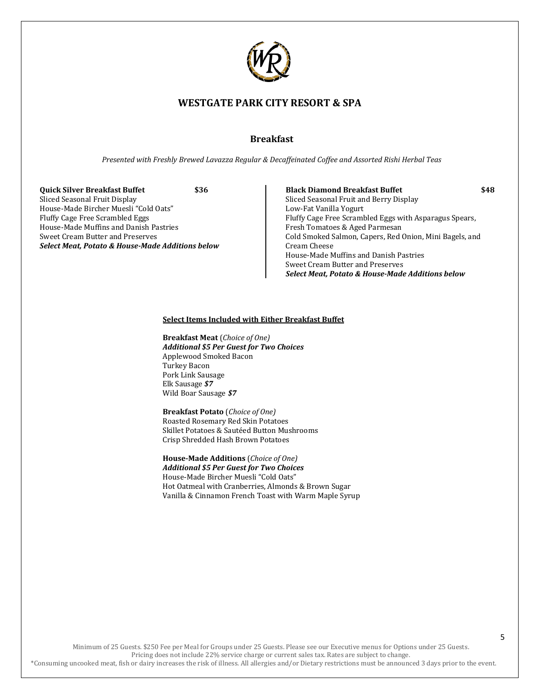

## **Breakfast**

*Presented with Freshly Brewed Lavazza Regular & Decaffeinated Coffee and Assorted Rishi Herbal Teas*

**Quick Silver Breakfast Buffet \$36** Sliced Seasonal Fruit Display House-Made Bircher Muesli "Cold Oats" Fluffy Cage Free Scrambled Eggs House-Made Muffins and Danish Pastries Sweet Cream Butter and Preserves *Select Meat, Potato & House-Made Additions below*

**Black Diamond Breakfast Buffet \$48** Sliced Seasonal Fruit and Berry Display Low-Fat Vanilla Yogurt Fluffy Cage Free Scrambled Eggs with Asparagus Spears, Fresh Tomatoes & Aged Parmesan Cold Smoked Salmon, Capers, Red Onion, Mini Bagels, and Cream Cheese House-Made Muffins and Danish Pastries Sweet Cream Butter and Preserves *Select Meat, Potato & House-Made Additions below*

#### **Select Items Included with Either Breakfast Buffet**

**Breakfast Meat** (*Choice of One) Additional \$5 Per Guest for Two Choices* Applewood Smoked Bacon Turkey Bacon Pork Link Sausage Elk Sausage *\$7* Wild Boar Sausage *\$7*

**Breakfast Potato** (*Choice of One)* Roasted Rosemary Red Skin Potatoes Skillet Potatoes & Sautéed Button Mushrooms Crisp Shredded Hash Brown Potatoes

**House-Made Additions** (*Choice of One) Additional \$5 Per Guest for Two Choices* House-Made Bircher Muesli "Cold Oats" Hot Oatmeal with Cranberries, Almonds & Brown Sugar Vanilla & Cinnamon French Toast with Warm Maple Syrup

Minimum of 25 Guests. \$250 Fee per Meal for Groups under 25 Guests. Please see our Executive menus for Options under 25 Guests. Pricing does not include 22% service charge or current sales tax. Rates are subject to change. \*Consuming uncooked meat, fish or dairy increases the risk of illness. All allergies and/or Dietary restrictions must be announced 3 days prior to the event.

5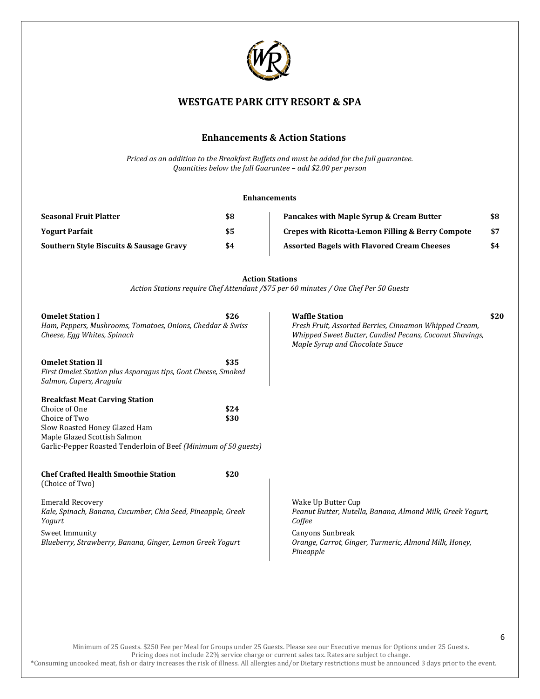

## **Enhancements & Action Stations**

*Priced as an addition to the Breakfast Buffets and must be added for the full guarantee. Quantities below the full Guarantee – add \$2.00 per person*

#### **Enhancements**

| <b>Seasonal Fruit Platter</b>                      | \$8 | Pancakes with Maple Syrup & Cream Butter                     | \$8 |
|----------------------------------------------------|-----|--------------------------------------------------------------|-----|
| <b>Yogurt Parfait</b>                              | \$5 | <b>Crepes with Ricotta-Lemon Filling &amp; Berry Compote</b> | \$7 |
| <b>Southern Style Biscuits &amp; Sausage Gravy</b> | \$4 | <b>Assorted Bagels with Flavored Cream Cheeses</b>           | \$4 |

**Action Stations** *Action Stations require Chef Attendant /\$75 per 60 minutes / One Chef Per 50 Guests*

| <b>Omelet Station I</b><br>Ham, Peppers, Mushrooms, Tomatoes, Onions, Cheddar & Swiss<br>Cheese, Egg Whites, Spinach                                                                                        | \$26         | <b>Waffle Station</b><br>Fresh Fruit, Assorted Berries, Cinnamon Whipped Cream,<br>Whipped Sweet Butter, Candied Pecans, Coconut Shavings,<br>Maple Syrup and Chocolate Sauce        | \$20 |
|-------------------------------------------------------------------------------------------------------------------------------------------------------------------------------------------------------------|--------------|--------------------------------------------------------------------------------------------------------------------------------------------------------------------------------------|------|
| <b>Omelet Station II</b><br>First Omelet Station plus Asparagus tips, Goat Cheese, Smoked<br>Salmon, Capers, Arugula                                                                                        | \$35         |                                                                                                                                                                                      |      |
| <b>Breakfast Meat Carving Station</b><br>Choice of One<br>Choice of Two<br>Slow Roasted Honey Glazed Ham<br>Maple Glazed Scottish Salmon<br>Garlic-Pepper Roasted Tenderloin of Beef (Minimum of 50 guests) | \$24<br>\$30 |                                                                                                                                                                                      |      |
| <b>Chef Crafted Health Smoothie Station</b><br>(Choice of Two)                                                                                                                                              | \$20         |                                                                                                                                                                                      |      |
| <b>Emerald Recovery</b><br>Kale, Spinach, Banana, Cucumber, Chia Seed, Pineapple, Greek<br>Yogurt<br>Sweet Immunity<br>Blueberry, Strawberry, Banana, Ginger, Lemon Greek Yogurt                            |              | Wake Up Butter Cup<br>Peanut Butter, Nutella, Banana, Almond Milk, Greek Yogurt,<br>Coffee<br>Canyons Sunbreak<br>Orange, Carrot, Ginger, Turmeric, Almond Milk, Honey,<br>Pineapple |      |

Minimum of 25 Guests. \$250 Fee per Meal for Groups under 25 Guests. Please see our Executive menus for Options under 25 Guests. Pricing does not include 22% service charge or current sales tax. Rates are subject to change.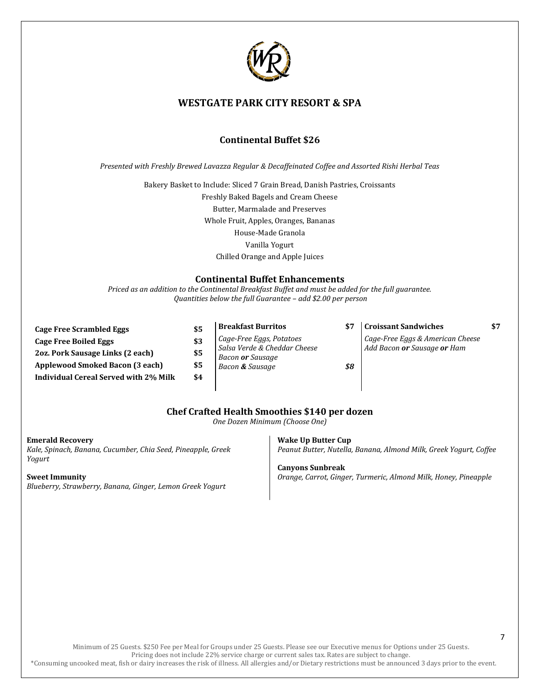

## **Continental Buffet \$26**

*Presented with Freshly Brewed Lavazza Regular & Decaffeinated Coffee and Assorted Rishi Herbal Teas*

Bakery Basket to Include: Sliced 7 Grain Bread, Danish Pastries, Croissants Freshly Baked Bagels and Cream Cheese Butter, Marmalade and Preserves Whole Fruit, Apples, Oranges, Bananas House-Made Granola Vanilla Yogurt Chilled Orange and Apple Juices

#### **Continental Buffet Enhancements**

*Priced as an addition to the Continental Breakfast Buffet and must be added for the full guarantee. Quantities below the full Guarantee – add \$2.00 per person*

| <b>Cage Free Scrambled Eggs</b>              | \$5 |
|----------------------------------------------|-----|
| Cage Free Boiled Eggs                        | \$3 |
| 2oz. Pork Sausage Links (2 each)             | \$5 |
| <b>Applewood Smoked Bacon (3 each)</b>       | \$5 |
| <b>Individual Cereal Served with 2% Milk</b> | \$4 |

**Breakfast Burritos \$7** *Cage-Free Eggs, Potatoes Salsa Verde & Cheddar Cheese Bacon or Sausage Bacon & Sausage \$8*

#### **Croissant Sandwiches \$7** *Cage-Free Eggs & American Cheese Add Bacon or Sausage or Ham*

## **Chef Crafted Health Smoothies \$140 per dozen**

*One Dozen Minimum (Choose One)*

**Emerald Recovery**

*Kale, Spinach, Banana, Cucumber, Chia Seed, Pineapple, Greek Yogurt*

**Sweet Immunity** *Blueberry, Strawberry, Banana, Ginger, Lemon Greek Yogurt* **Wake Up Butter Cup** *Peanut Butter, Nutella, Banana, Almond Milk, Greek Yogurt, Coffee*

**Canyons Sunbreak** *Orange, Carrot, Ginger, Turmeric, Almond Milk, Honey, Pineapple*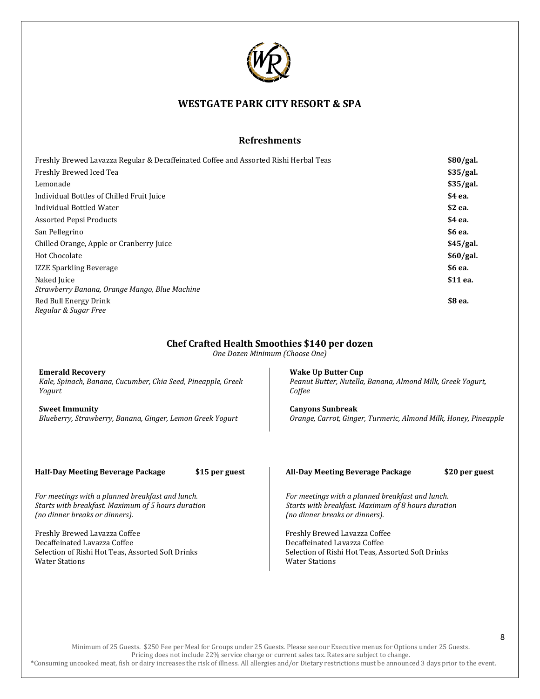

## **Refreshments**

| Freshly Brewed Lavazza Regular & Decaffeinated Coffee and Assorted Rishi Herbal Teas | \$80/gal. |
|--------------------------------------------------------------------------------------|-----------|
| Freshly Brewed Iced Tea                                                              | \$35/gal. |
| Lemonade                                                                             | \$35/gal. |
| Individual Bottles of Chilled Fruit Juice                                            | \$4 ea.   |
| Individual Bottled Water                                                             | \$2 ea.   |
| Assorted Pepsi Products                                                              | \$4 ea.   |
| San Pellegrino                                                                       | \$6 ea.   |
| Chilled Orange, Apple or Cranberry Juice                                             | \$45/gal. |
| Hot Chocolate                                                                        | \$60/gal. |
| <b>IZZE Sparkling Beverage</b>                                                       | \$6 ea.   |
| Naked Juice                                                                          | \$11 ea.  |
| Strawberry Banana, Orange Mango, Blue Machine                                        |           |
| Red Bull Energy Drink                                                                | \$8 ea.   |
| Regular & Sugar Free                                                                 |           |

#### **Chef Crafted Health Smoothies \$140 per dozen**

*One Dozen Minimum (Choose One)*

**Emerald Recovery** *Kale, Spinach, Banana, Cucumber, Chia Seed, Pineapple, Greek Yogurt*

**Sweet Immunity** *Blueberry, Strawberry, Banana, Ginger, Lemon Greek Yogurt*

**Wake Up Butter Cup** *Peanut Butter, Nutella, Banana, Almond Milk, Greek Yogurt, Coffee*

**Canyons Sunbreak** *Orange, Carrot, Ginger, Turmeric, Almond Milk, Honey, Pineapple*

**Half-Day Meeting Beverage Package \$15 per guest**

*For meetings with a planned breakfast and lunch. Starts with breakfast. Maximum of 5 hours duration (no dinner breaks or dinners).*

Freshly Brewed Lavazza Coffee Decaffeinated Lavazza Coffee Selection of Rishi Hot Teas, Assorted Soft Drinks Water Stations

#### **All-Day Meeting Beverage Package \$20 per guest**

*For meetings with a planned breakfast and lunch. Starts with breakfast. Maximum of 8 hours duration (no dinner breaks or dinners).*

Freshly Brewed Lavazza Coffee Decaffeinated Lavazza Coffee Selection of Rishi Hot Teas, Assorted Soft Drinks Water Stations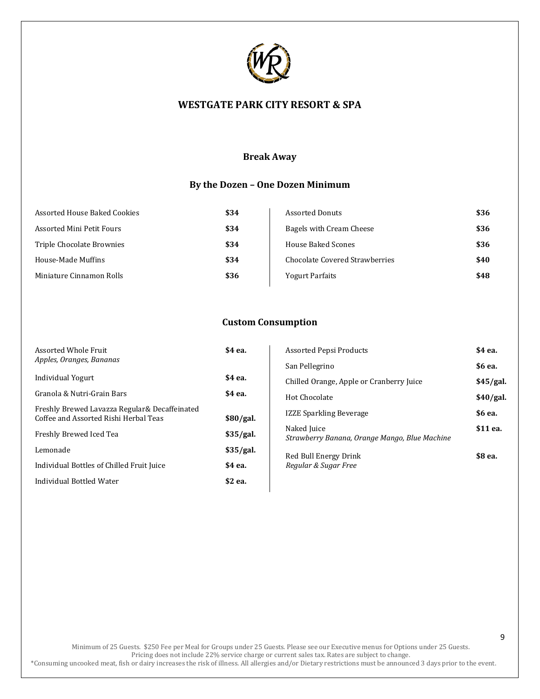

## **Break Away**

## **By the Dozen – One Dozen Minimum**

| Assorted House Baked Cookies | \$34 | <b>Assorted Donuts</b>         | \$36 |
|------------------------------|------|--------------------------------|------|
| Assorted Mini Petit Fours    | \$34 | Bagels with Cream Cheese       | \$36 |
| Triple Chocolate Brownies    | \$34 | House Baked Scones             | \$36 |
| House-Made Muffins           | \$34 | Chocolate Covered Strawberries | \$40 |
| Miniature Cinnamon Rolls     | \$36 | <b>Yogurt Parfaits</b>         | \$48 |
|                              |      |                                |      |

## **Custom Consumption**

| <b>Assorted Whole Fruit</b>                                                             | \$4 ea.     | Assorted Pepsi Products                                      | \$4 ea.   |
|-----------------------------------------------------------------------------------------|-------------|--------------------------------------------------------------|-----------|
| Apples, Oranges, Bananas                                                                |             | San Pellegrino                                               | \$6 ea.   |
| Individual Yogurt                                                                       | \$4 ea.     | Chilled Orange, Apple or Cranberry Juice                     | \$45/gal. |
| Granola & Nutri-Grain Bars                                                              | \$4 ea.     | Hot Chocolate                                                | \$40/gal. |
| Freshly Brewed Lavazza Regular & Decaffeinated<br>Coffee and Assorted Rishi Herbal Teas | $$80$ /gal. | <b>IZZE Sparkling Beverage</b>                               | \$6 ea.   |
| Freshly Brewed Iced Tea                                                                 | \$35/gal.   | Naked Juice<br>Strawberry Banana, Orange Mango, Blue Machine | \$11 ea.  |
| Lemonade                                                                                | \$35/gal.   | Red Bull Energy Drink                                        | \$8 ea.   |
| Individual Bottles of Chilled Fruit Juice                                               | \$4 ea.     | Regular & Sugar Free                                         |           |
| Individual Bottled Water                                                                | \$2 ea.     |                                                              |           |
|                                                                                         |             |                                                              |           |

Minimum of 25 Guests. \$250 Fee per Meal for Groups under 25 Guests. Please see our Executive menus for Options under 25 Guests. Pricing does not include 22% service charge or current sales tax. Rates are subject to change.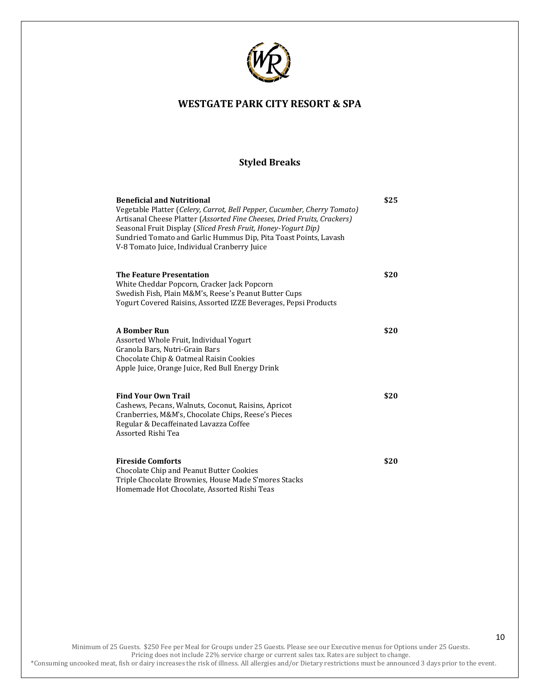

## **Styled Breaks**

| <b>Beneficial and Nutritional</b>                                        | \$25 |
|--------------------------------------------------------------------------|------|
| Vegetable Platter (Celery, Carrot, Bell Pepper, Cucumber, Cherry Tomato) |      |
| Artisanal Cheese Platter (Assorted Fine Cheeses, Dried Fruits, Crackers) |      |
| Seasonal Fruit Display (Sliced Fresh Fruit, Honey-Yogurt Dip)            |      |
| Sundried Tomato and Garlic Hummus Dip, Pita Toast Points, Lavash         |      |
| V-8 Tomato Juice, Individual Cranberry Juice                             |      |
| <b>The Feature Presentation</b>                                          | \$20 |
| White Cheddar Popcorn, Cracker Jack Popcorn                              |      |
| Swedish Fish, Plain M&M's, Reese's Peanut Butter Cups                    |      |
| Yogurt Covered Raisins, Assorted IZZE Beverages, Pepsi Products          |      |
| <b>A Bomber Run</b>                                                      | \$20 |
| Assorted Whole Fruit, Individual Yogurt                                  |      |
| Granola Bars, Nutri-Grain Bars                                           |      |
| Chocolate Chip & Oatmeal Raisin Cookies                                  |      |
| Apple Juice, Orange Juice, Red Bull Energy Drink                         |      |
|                                                                          |      |
| <b>Find Your Own Trail</b>                                               | \$20 |
| Cashews, Pecans, Walnuts, Coconut, Raisins, Apricot                      |      |
| Cranberries, M&M's, Chocolate Chips, Reese's Pieces                      |      |
| Regular & Decaffeinated Lavazza Coffee                                   |      |
| Assorted Rishi Tea                                                       |      |
| <b>Fireside Comforts</b>                                                 | \$20 |
| Chocolate Chip and Peanut Butter Cookies                                 |      |
| Triple Chocolate Brownies, House Made S'mores Stacks                     |      |
| Homemade Hot Chocolate, Assorted Rishi Teas                              |      |

Minimum of 25 Guests. \$250 Fee per Meal for Groups under 25 Guests. Please see our Executive menus for Options under 25 Guests. Pricing does not include 22% service charge or current sales tax. Rates are subject to change.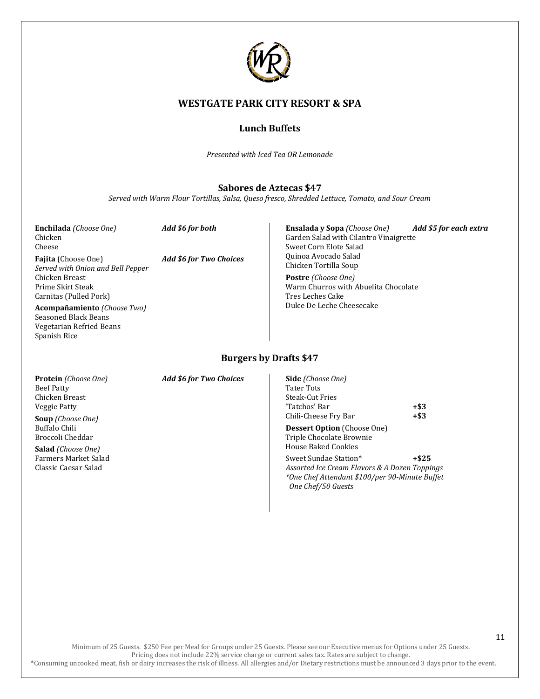

## **Lunch Buffets**

*Presented with Iced Tea OR Lemonade* 

#### **Sabores de Aztecas \$47**

*Served with Warm Flour Tortillas, Salsa, Queso fresco, Shredded Lettuce, Tomato, and Sour Cream*

**Enchilada** *(Choose One) Add \$6 for both* Chicken Cheese

**Fajita** (Choose One) *Add \$6 for Two Choices Served with Onion and Bell Pepper* Chicken Breast Prime Skirt Steak Carnitas (Pulled Pork)

**Acompañamiento** *(Choose Two)*  Seasoned Black Beans Vegetarian Refried Beans Spanish Rice

Garden Salad with Cilantro Vinaigrette Sweet Corn Elote Salad Quinoa Avocado Salad Chicken Tortilla Soup **Postre** *(Choose One)* Warm Churros with Abuelita Chocolate Tres Leches Cake Dulce De Leche Cheesecake

**Ensalada y Sopa** *(Choose One) Add \$5 for each extra*

#### **Burgers by Drafts \$47**

Beef Patty Chicken Breast Veggie Patty

**Soup** *(Choose One)* Buffalo Chili Broccoli Cheddar

**Salad** *(Choose One)* Farmers Market Salad Classic Caesar Salad

**Protein** *(Choose One) Add \$6 for Two Choices*

| <b>Side</b> (Choose One)           |         |
|------------------------------------|---------|
| Tater Tots                         |         |
| Steak-Cut Fries                    |         |
| 'Tatchos' Bar                      | +\$3    |
| Chili-Cheese Fry Bar               | $+$ \$3 |
| <b>Dessert Option</b> (Choose One) |         |
| Triple Chocolate Brownie           |         |

House Baked Cookies Sweet Sundae Station\* **+\$25** *Assorted Ice Cream Flavors & A Dozen Toppings \*One Chef Attendant \$100/per 90-Minute Buffet*

 *One Chef/50 Guests* 

Minimum of 25 Guests. \$250 Fee per Meal for Groups under 25 Guests. Please see our Executive menus for Options under 25 Guests. Pricing does not include 22% service charge or current sales tax. Rates are subject to change. \*Consuming uncooked meat, fish or dairy increases the risk of illness. All allergies and/or Dietary restrictions must be announced 3 days prior to the event.

11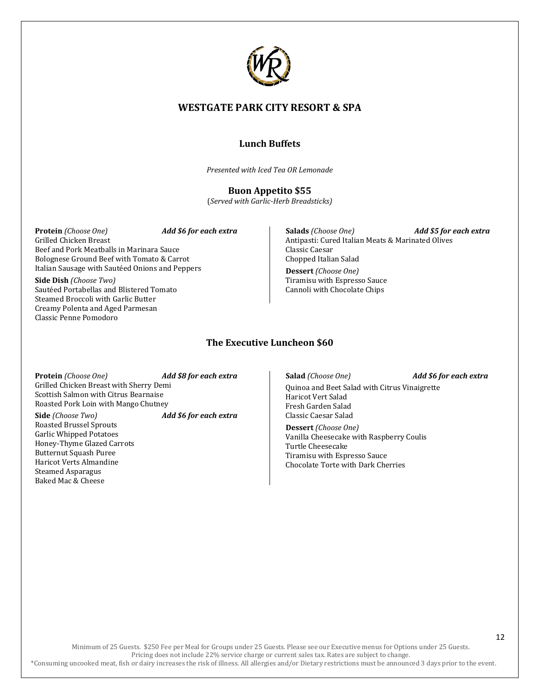

## **Lunch Buffets**

*Presented with Iced Tea OR Lemonade* 

**Buon Appetito \$55** (*Served with Garlic-Herb Breadsticks)*

**Protein** *(Choose One) Add \$6 for each extra* Grilled Chicken Breast Beef and Pork Meatballs in Marinara Sauce Bolognese Ground Beef with Tomato & Carrot Italian Sausage with Sautéed Onions and Peppers

**Side Dish** *(Choose Two)* Sautéed Portabellas and Blistered Tomato Steamed Broccoli with Garlic Butter Creamy Polenta and Aged Parmesan Classic Penne Pomodoro

**Salads** *(Choose One) Add \$5 for each extra* Antipasti: Cured Italian Meats & Marinated Olives Classic Caesar Chopped Italian Salad

**Dessert** *(Choose One)* Tiramisu with Espresso Sauce Cannoli with Chocolate Chips

## **The Executive Luncheon \$60**

**Protein** *(Choose One) Add \$8 for each extra* Grilled Chicken Breast with Sherry Demi Scottish Salmon with Citrus Bearnaise Roasted Pork Loin with Mango Chutney

**Side** *(Choose Two) Add \$6 for each extra* Roasted Brussel Sprouts Garlic Whipped Potatoes Honey-Thyme Glazed Carrots Butternut Squash Puree Haricot Verts Almandine Steamed Asparagus Baked Mac & Cheese

#### **Salad** *(Choose One) Add \$6 for each extra*

Quinoa and Beet Salad with Citrus Vinaigrette Haricot Vert Salad Fresh Garden Salad Classic Caesar Salad

**Dessert** *(Choose One)* Vanilla Cheesecake with Raspberry Coulis Turtle Cheesecake Tiramisu with Espresso Sauce Chocolate Torte with Dark Cherries

Minimum of 25 Guests. \$250 Fee per Meal for Groups under 25 Guests. Please see our Executive menus for Options under 25 Guests. Pricing does not include 22% service charge or current sales tax. Rates are subject to change.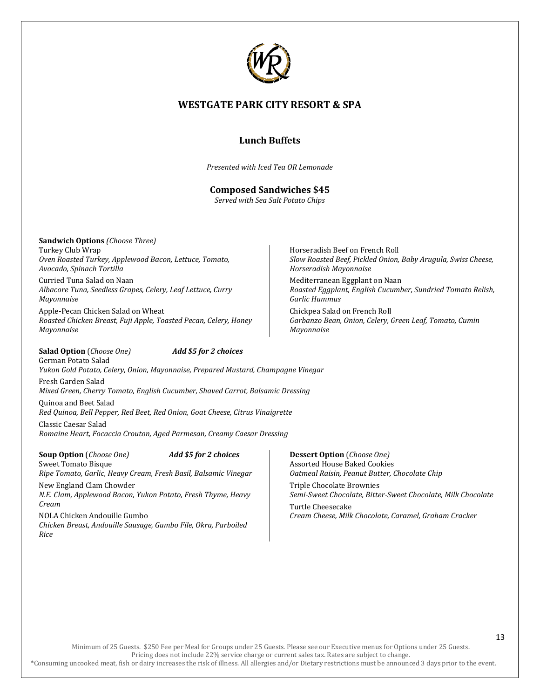

## **Lunch Buffets**

*Presented with Iced Tea OR Lemonade* 

## **Composed Sandwiches \$45**

*Served with Sea Salt Potato Chips*

**Sandwich Options** *(Choose Three)* Turkey Club Wrap *Oven Roasted Turkey, Applewood Bacon, Lettuce, Tomato, Avocado, Spinach Tortilla*

Curried Tuna Salad on Naan *Albacore Tuna, Seedless Grapes, Celery, Leaf Lettuce, Curry Mayonnaise*

Apple-Pecan Chicken Salad on Wheat *Roasted Chicken Breast, Fuji Apple, Toasted Pecan, Celery, Honey Mayonnaise*

Horseradish Beef on French Roll *Slow Roasted Beef, Pickled Onion, Baby Arugula, Swiss Cheese, Horseradish Mayonnaise*

Mediterranean Eggplant on Naan *Roasted Eggplant, English Cucumber, Sundried Tomato Relish, Garlic Hummus*

Chickpea Salad on French Roll *Garbanzo Bean, Onion, Celery, Green Leaf, Tomato, Cumin Mayonnaise*

**Salad Option** (*Choose One) Add \$5 for 2 choices* German Potato Salad

*Yukon Gold Potato, Celery, Onion, Mayonnaise, Prepared Mustard, Champagne Vinegar* Fresh Garden Salad

*Mixed Green, Cherry Tomato, English Cucumber, Shaved Carrot, Balsamic Dressing*

Quinoa and Beet Salad *Red Quinoa, Bell Pepper, Red Beet, Red Onion, Goat Cheese, Citrus Vinaigrette*

Classic Caesar Salad *Romaine Heart, Focaccia Crouton, Aged Parmesan, Creamy Caesar Dressing*

**Soup Option** (*Choose One) Add \$5 for 2 choices* Sweet Tomato Bisque *Ripe Tomato, Garlic, Heavy Cream, Fresh Basil, Balsamic Vinegar* New England Clam Chowder *N.E. Clam, Applewood Bacon, Yukon Potato, Fresh Thyme, Heavy Cream*

NOLA Chicken Andouille Gumbo *Chicken Breast, Andouille Sausage, Gumbo File, Okra, Parboiled Rice*

**Dessert Option** (*Choose One)* Assorted House Baked Cookies *Oatmeal Raisin, Peanut Butter, Chocolate Chip*

Triple Chocolate Brownies *Semi-Sweet Chocolate, Bitter-Sweet Chocolate, Milk Chocolate* Turtle Cheesecake

*Cream Cheese, Milk Chocolate, Caramel, Graham Cracker*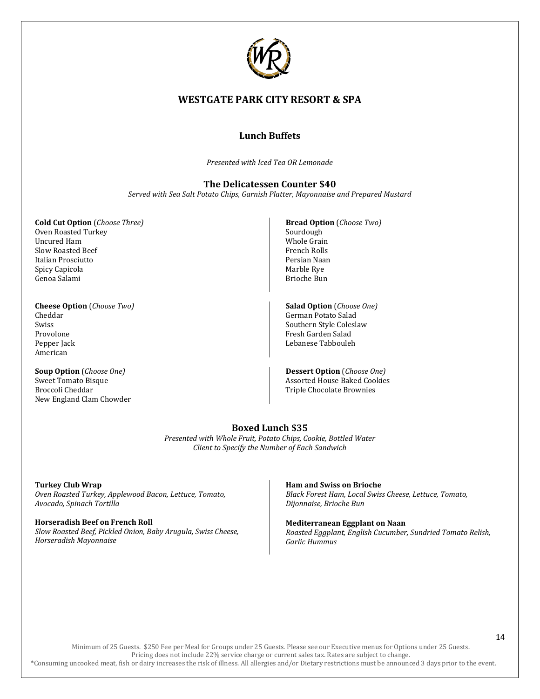

## **Lunch Buffets**

*Presented with Iced Tea OR Lemonade* 

## **The Delicatessen Counter \$40**

*Served with Sea Salt Potato Chips, Garnish Platter, Mayonnaise and Prepared Mustard*

**Cold Cut Option** (*Choose Three)* Oven Roasted Turkey Uncured Ham Slow Roasted Beef Italian Prosciutto Spicy Capicola Genoa Salami

**Cheese Option** (*Choose Two)* Cheddar Swiss Provolone Pepper Jack American

**Soup Option** (*Choose One)* Sweet Tomato Bisque Broccoli Cheddar New England Clam Chowder

- **Bread Option** (*Choose Two)* Sourdough Whole Grain French Rolls Persian Naan Marble Rye Brioche Bun
- **Salad Option** (*Choose One)* German Potato Salad Southern Style Coleslaw Fresh Garden Salad Lebanese Tabbouleh

**Dessert Option** (*Choose One)* Assorted House Baked Cookies Triple Chocolate Brownies

## **Boxed Lunch \$35**

*Presented with Whole Fruit, Potato Chips, Cookie, Bottled Water Client to Specify the Number of Each Sandwich*

**Turkey Club Wrap** *Oven Roasted Turkey, Applewood Bacon, Lettuce, Tomato, Avocado, Spinach Tortilla*

**Horseradish Beef on French Roll** *Slow Roasted Beef, Pickled Onion, Baby Arugula, Swiss Cheese, Horseradish Mayonnaise*

#### **Ham and Swiss on Brioche**

*Black Forest Ham, Local Swiss Cheese, Lettuce, Tomato, Dijonnaise, Brioche Bun*

**Mediterranean Eggplant on Naan** *Roasted Eggplant, English Cucumber, Sundried Tomato Relish, Garlic Hummus*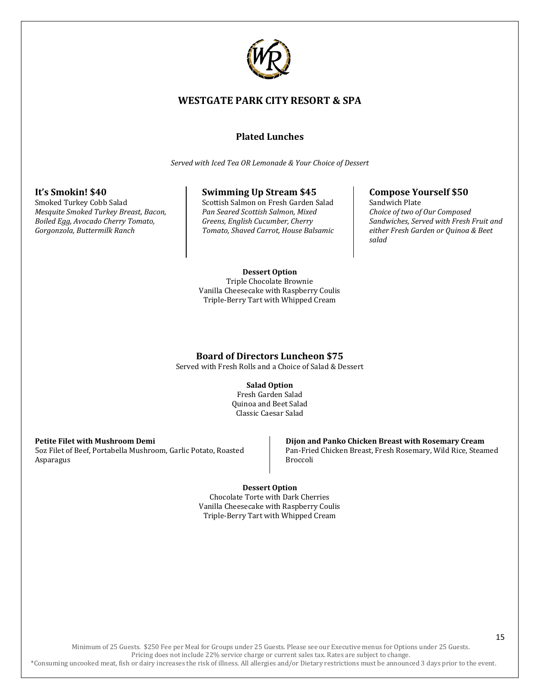

## **Plated Lunches**

*Served with Iced Tea OR Lemonade & Your Choice of Dessert*

## **It's Smokin! \$40**

Smoked Turkey Cobb Salad *Mesquite Smoked Turkey Breast, Bacon, Boiled Egg, Avocado Cherry Tomato, Gorgonzola, Buttermilk Ranch*

#### **Swimming Up Stream \$45**

Scottish Salmon on Fresh Garden Salad *Pan Seared Scottish Salmon, Mixed Greens, English Cucumber, Cherry Tomato, Shaved Carrot, House Balsamic*

## **Compose Yourself \$50**

Sandwich Plate *Choice of two of Our Composed Sandwiches, Served with Fresh Fruit and either Fresh Garden or Quinoa & Beet salad*

#### **Dessert Option**

Triple Chocolate Brownie Vanilla Cheesecake with Raspberry Coulis Triple-Berry Tart with Whipped Cream

## **Board of Directors Luncheon \$75**

Served with Fresh Rolls and a Choice of Salad & Dessert

#### **Salad Option**

Fresh Garden Salad Quinoa and Beet Salad Classic Caesar Salad

#### **Petite Filet with Mushroom Demi**

5oz Filet of Beef, Portabella Mushroom, Garlic Potato, Roasted Asparagus

#### **Dijon and Panko Chicken Breast with Rosemary Cream** Pan-Fried Chicken Breast, Fresh Rosemary, Wild Rice, Steamed Broccoli

**Dessert Option**

Chocolate Torte with Dark Cherries Vanilla Cheesecake with Raspberry Coulis Triple-Berry Tart with Whipped Cream

Minimum of 25 Guests. \$250 Fee per Meal for Groups under 25 Guests. Please see our Executive menus for Options under 25 Guests. Pricing does not include 22% service charge or current sales tax. Rates are subject to change. \*Consuming uncooked meat, fish or dairy increases the risk of illness. All allergies and/or Dietary restrictions must be announced 3 days prior to the event.

## 15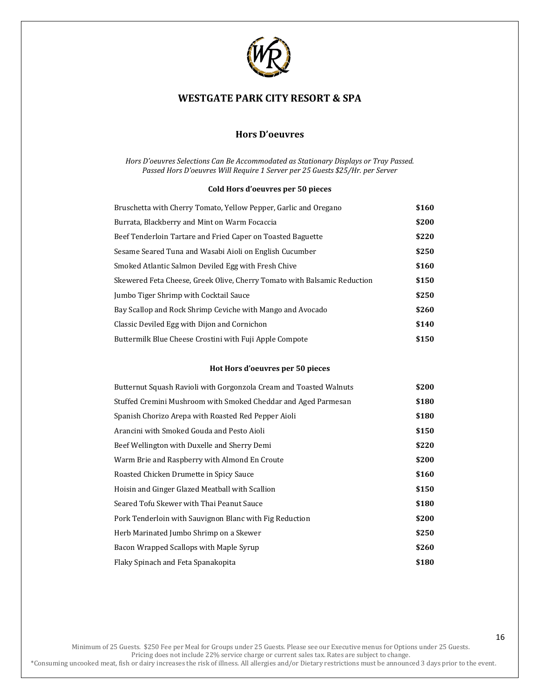

## **Hors D'oeuvres**

#### *Hors D'oeuvres Selections Can Be Accommodated as Stationary Displays or Tray Passed. Passed Hors D'oeuvres Will Require 1 Server per 25 Guests \$25/Hr. per Server*

#### **Cold Hors d'oeuvres per 50 pieces**

| Bruschetta with Cherry Tomato, Yellow Pepper, Garlic and Oregano         | \$160 |
|--------------------------------------------------------------------------|-------|
| Burrata, Blackberry and Mint on Warm Focaccia                            | \$200 |
| Beef Tenderloin Tartare and Fried Caper on Toasted Baguette              | \$220 |
| Sesame Seared Tuna and Wasabi Aioli on English Cucumber                  | \$250 |
| Smoked Atlantic Salmon Deviled Egg with Fresh Chive                      | \$160 |
| Skewered Feta Cheese, Greek Olive, Cherry Tomato with Balsamic Reduction | \$150 |
| Jumbo Tiger Shrimp with Cocktail Sauce                                   | \$250 |
| Bay Scallop and Rock Shrimp Ceviche with Mango and Avocado               | \$260 |
| Classic Deviled Egg with Dijon and Cornichon                             | \$140 |
| Buttermilk Blue Cheese Crostini with Fuji Apple Compote                  | \$150 |

#### **Hot Hors d'oeuvres per 50 pieces**

| Butternut Squash Ravioli with Gorgonzola Cream and Toasted Walnuts | \$200 |
|--------------------------------------------------------------------|-------|
| Stuffed Cremini Mushroom with Smoked Cheddar and Aged Parmesan     | \$180 |
| Spanish Chorizo Arepa with Roasted Red Pepper Aioli                | \$180 |
| Arancini with Smoked Gouda and Pesto Aioli                         | \$150 |
| Beef Wellington with Duxelle and Sherry Demi                       | \$220 |
| Warm Brie and Raspberry with Almond En Croute                      | \$200 |
| Roasted Chicken Drumette in Spicy Sauce                            | \$160 |
| Hoisin and Ginger Glazed Meatball with Scallion                    | \$150 |
| Seared Tofu Skewer with Thai Peanut Sauce                          | \$180 |
| Pork Tenderloin with Sauvignon Blanc with Fig Reduction            | \$200 |
| Herb Marinated Jumbo Shrimp on a Skewer                            | \$250 |
| Bacon Wrapped Scallops with Maple Syrup                            | \$260 |
| Flaky Spinach and Feta Spanakopita                                 | \$180 |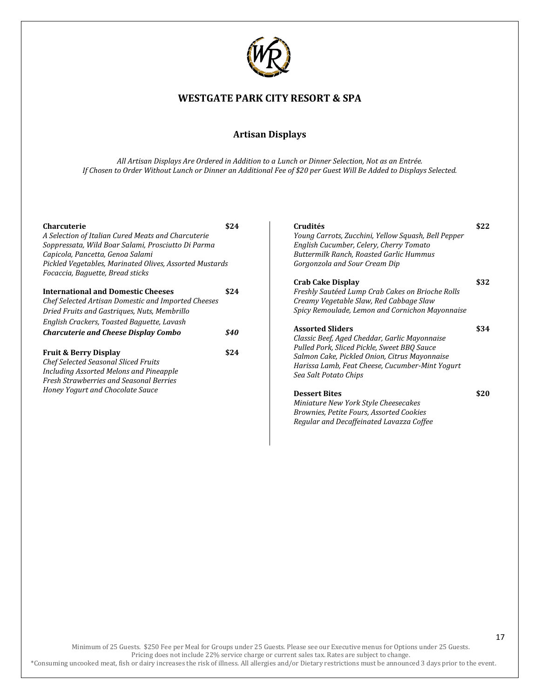

## **Artisan Displays**

*All Artisan Displays Are Ordered in Addition to a Lunch or Dinner Selection, Not as an Entrée. If Chosen to Order Without Lunch or Dinner an Additional Fee of \$20 per Guest Will Be Added to Displays Selected.* 

| <b>Charcuterie</b>                                      | \$24 | Crudités                                                                                     | \$22 |
|---------------------------------------------------------|------|----------------------------------------------------------------------------------------------|------|
| A Selection of Italian Cured Meats and Charcuterie      |      | Young Carrots, Zucchini, Yellow Squash, Bell Pepper                                          |      |
| Soppressata, Wild Boar Salami, Prosciutto Di Parma      |      | English Cucumber, Celery, Cherry Tomato                                                      |      |
| Capicola, Pancetta, Genoa Salami                        |      | Buttermilk Ranch, Roasted Garlic Hummus                                                      |      |
| Pickled Vegetables, Marinated Olives, Assorted Mustards |      | Gorgonzola and Sour Cream Dip                                                                |      |
| Focaccia, Baguette, Bread sticks                        |      |                                                                                              |      |
|                                                         |      | <b>Crab Cake Display</b>                                                                     | \$32 |
| <b>International and Domestic Cheeses</b>               | \$24 | Freshly Sautéed Lump Crab Cakes on Brioche Rolls                                             |      |
| Chef Selected Artisan Domestic and Imported Cheeses     |      | Creamy Vegetable Slaw, Red Cabbage Slaw                                                      |      |
| Dried Fruits and Gastriques, Nuts, Membrillo            |      | Spicy Remoulade, Lemon and Cornichon Mayonnaise                                              |      |
| English Crackers, Toasted Baguette, Lavash              |      |                                                                                              |      |
| <b>Charcuterie and Cheese Display Combo</b>             | \$40 | <b>Assorted Sliders</b>                                                                      | \$34 |
|                                                         |      | Classic Beef, Aged Cheddar, Garlic Mayonnaise<br>Pulled Pork, Sliced Pickle, Sweet BBQ Sauce |      |
| <b>Fruit &amp; Berry Display</b>                        | \$24 | Salmon Cake, Pickled Onion, Citrus Mayonnaise                                                |      |
| <b>Chef Selected Seasonal Sliced Fruits</b>             |      | Harissa Lamb, Feat Cheese, Cucumber-Mint Yogurt                                              |      |
| Including Assorted Melons and Pineapple                 |      | Sea Salt Potato Chips                                                                        |      |
| <b>Fresh Strawberries and Seasonal Berries</b>          |      |                                                                                              |      |
| Honey Yogurt and Chocolate Sauce                        |      | <b>Dessert Bites</b>                                                                         | \$20 |
|                                                         |      | Miniature New York Style Cheesecakes                                                         |      |
|                                                         |      | Brownies, Petite Fours, Assorted Cookies                                                     |      |
|                                                         |      | Regular and Decaffeinated Lavazza Coffee                                                     |      |
|                                                         |      |                                                                                              |      |

Minimum of 25 Guests. \$250 Fee per Meal for Groups under 25 Guests. Please see our Executive menus for Options under 25 Guests. Pricing does not include 22% service charge or current sales tax. Rates are subject to change.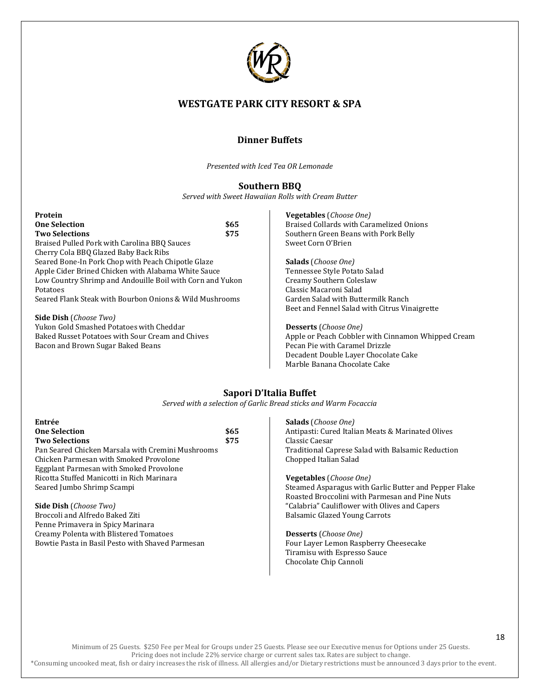

## **Dinner Buffets**

*Presented with Iced Tea OR Lemonade* 

## **Southern BBQ**

*Served with Sweet Hawaiian Rolls with Cream Butter*

| Protein                                                   |      | <b>Vegetables</b> ( <i>Choose One</i> )            |
|-----------------------------------------------------------|------|----------------------------------------------------|
| <b>One Selection</b>                                      | \$65 | Braised Collards with Caramelized Onions           |
| <b>Two Selections</b>                                     | \$75 | Southern Green Beans with Pork Belly               |
| Braised Pulled Pork with Carolina BBO Sauces              |      | Sweet Corn O'Brien                                 |
| Cherry Cola BBO Glazed Baby Back Ribs                     |      |                                                    |
| Seared Bone-In Pork Chop with Peach Chipotle Glaze        |      | <b>Salads</b> ( <i>Choose One</i> )                |
| Apple Cider Brined Chicken with Alabama White Sauce       |      | Tennessee Style Potato Salad                       |
| Low Country Shrimp and Andouille Boil with Corn and Yukon |      | Creamy Southern Coleslaw                           |
| Potatoes                                                  |      | Classic Macaroni Salad                             |
| Seared Flank Steak with Bourbon Onions & Wild Mushrooms   |      | Garden Salad with Buttermilk Ranch                 |
|                                                           |      | Beet and Fennel Salad with Citrus Vinaigrette      |
| <b>Side Dish</b> ( <i>Choose Two</i> )                    |      |                                                    |
| Yukon Gold Smashed Potatoes with Cheddar                  |      | <b>Desserts</b> ( <i>Choose One</i> )              |
| Baked Russet Potatoes with Sour Cream and Chives          |      | Apple or Peach Cobbler with Cinnamon Whipped Cream |
| Bacon and Brown Sugar Baked Beans                         |      | Pecan Pie with Caramel Drizzle                     |
|                                                           |      | Decadent Double Layer Chocolate Cake               |
|                                                           |      | Marble Banana Chocolate Cake                       |

## **Sapori D'Italia Buffet**

*Served with a selection of Garlic Bread sticks and Warm Focaccia*

| Entrée                                            |      |
|---------------------------------------------------|------|
| <b>One Selection</b>                              | \$65 |
| <b>Two Selections</b>                             | \$75 |
| Pan Seared Chicken Marsala with Cremini Mushrooms |      |
| Chicken Parmesan with Smoked Provolone            |      |
| <b>Eggplant Parmesan with Smoked Provolone</b>    |      |
| Ricotta Stuffed Manicotti in Rich Marinara        |      |
| Seared Jumbo Shrimp Scampi                        |      |
|                                                   |      |

**Side Dish** (*Choose Two)* Broccoli and Alfredo Baked Ziti Penne Primavera in Spicy Marinara Creamy Polenta with Blistered Tomatoes Bowtie Pasta in Basil Pesto with Shaved Parmesan **Salads** (*Choose One)* Antipasti: Cured Italian Meats & Marinated Olives Classic Caesar Traditional Caprese Salad with Balsamic Reduction Chopped Italian Salad

**Vegetables** (*Choose One)* Steamed Asparagus with Garlic Butter and Pepper Flake Roasted Broccolini with Parmesan and Pine Nuts "Calabria" Cauliflower with Olives and Capers Balsamic Glazed Young Carrots

**Desserts** (*Choose One)* Four Layer Lemon Raspberry Cheesecake Tiramisu with Espresso Sauce Chocolate Chip Cannoli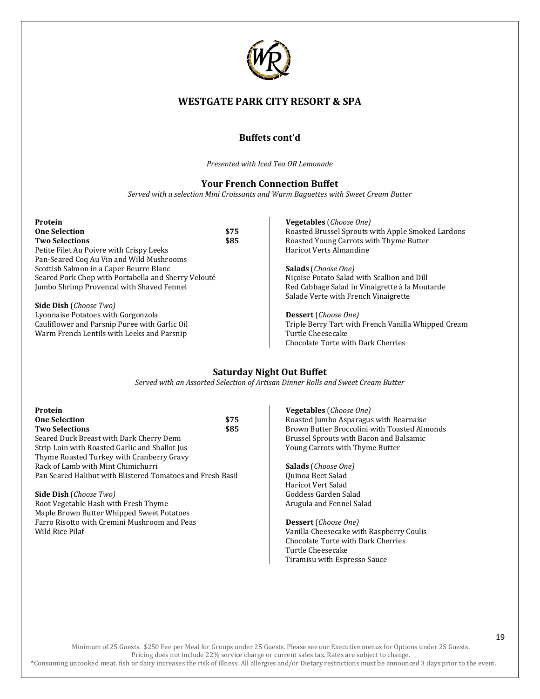

## **Buffets cont'd**

*Presented with Iced Tea OR Lemonade* 

#### **Your French Connection Buffet**

*Served with a selection Mini Croissants and Warm Baguettes with Sweet Cream Butter*

|                                                     | <b>Vegetables</b> ( <i>Choose One</i> )             |
|-----------------------------------------------------|-----------------------------------------------------|
| \$75                                                | Roasted Brussel Sprouts with Apple Smoked Lardons   |
| \$85                                                | Roasted Young Carrots with Thyme Butter             |
|                                                     | Haricot Verts Almandine                             |
|                                                     |                                                     |
|                                                     | <b>Salads</b> ( <i>Choose One</i> )                 |
| Seared Pork Chop with Portabella and Sherry Velouté | Nicoise Potato Salad with Scallion and Dill         |
|                                                     | Red Cabbage Salad in Vinaigrette à la Moutarde      |
|                                                     | Salade Verte with French Vinaigrette                |
|                                                     |                                                     |
|                                                     | <b>Dessert</b> ( <i>Choose One</i> )                |
|                                                     | Triple Berry Tart with French Vanilla Whipped Cream |
|                                                     |                                                     |

Triple Berry Tart with French Vanilla Whipped Cream Turtle Cheesecake Chocolate Torte with Dark Cherries

## **Saturday Night Out Buffet**

*Served with an Assorted Selection of Artisan Dinner Rolls and Sweet Cream Butter*

| Protein                                                    |      |
|------------------------------------------------------------|------|
| <b>One Selection</b>                                       | \$75 |
| <b>Two Selections</b>                                      | \$85 |
| Seared Duck Breast with Dark Cherry Demi                   |      |
| Strip Loin with Roasted Garlic and Shallot Jus             |      |
| Thyme Roasted Turkey with Cranberry Gravy                  |      |
| Rack of Lamb with Mint Chimichurri                         |      |
| Pan Seared Halibut with Blistered Tomatoes and Fresh Basil |      |

**Side Dish** (*Choose Two)* Root Vegetable Hash with Fresh Thyme Maple Brown Butter Whipped Sweet Potatoes Farro Risotto with Cremini Mushroom and Peas Wild Rice Pilaf

Warm French Lentils with Leeks and Parsnip

**Vegetables** (*Choose One)* Roasted Jumbo Asparagus with Bearnaise Brown Butter Broccolini with Toasted Almonds Brussel Sprouts with Bacon and Balsamic Young Carrots with Thyme Butter

**Salads** (*Choose One)* Quinoa Beet Salad Haricot Vert Salad Goddess Garden Salad Arugula and Fennel Salad

**Dessert** (*Choose One)* Vanilla Cheesecake with Raspberry Coulis Chocolate Torte with Dark Cherries Turtle Cheesecake Tiramisu with Espresso Sauce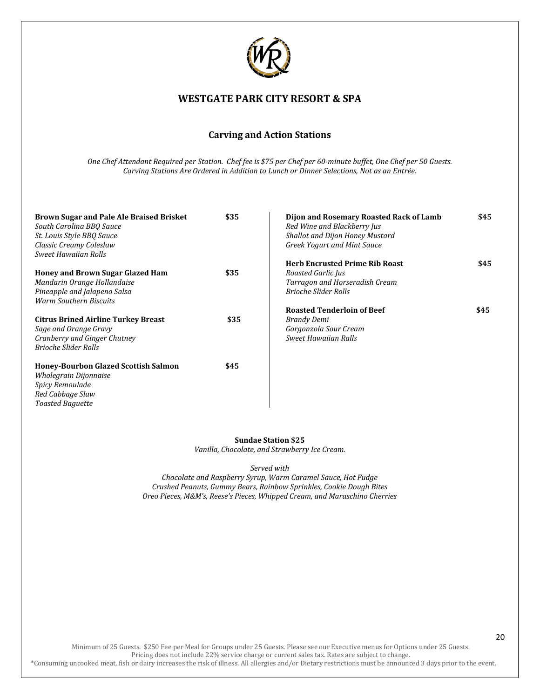

## **Carving and Action Stations**

*One Chef Attendant Required per Station. Chef fee is \$75 per Chef per 60-minute buffet, One Chef per 50 Guests. Carving Stations Are Ordered in Addition to Lunch or Dinner Selections, Not as an Entrée.* 

| Brown Sugar and Pale Ale Braised Brisket<br>South Carolina BBO Sauce<br>St. Louis Style BBQ Sauce                                       | \$35 | Dijon and Rosemary Roasted Rack of Lamb<br>Red Wine and Blackberry Jus<br><b>Shallot and Dijon Honey Mustard</b>             | \$45 |
|-----------------------------------------------------------------------------------------------------------------------------------------|------|------------------------------------------------------------------------------------------------------------------------------|------|
| Classic Creamy Coleslaw<br><b>Sweet Hawaiian Rolls</b>                                                                                  |      | Greek Yogurt and Mint Sauce                                                                                                  |      |
| <b>Honey and Brown Sugar Glazed Ham</b><br>Mandarin Orange Hollandaise<br>Pineapple and Jalapeno Salsa<br><b>Warm Southern Biscuits</b> | \$35 | <b>Herb Encrusted Prime Rib Roast</b><br>Roasted Garlic Jus<br>Tarragon and Horseradish Cream<br><b>Brioche Slider Rolls</b> | \$45 |
| <b>Citrus Brined Airline Turkey Breast</b><br>Sage and Orange Gravy<br>Cranberry and Ginger Chutney<br><b>Brioche Slider Rolls</b>      | \$35 | <b>Roasted Tenderloin of Beef</b><br>Brandy Demi<br>Gorgonzola Sour Cream<br><b>Sweet Hawaiian Ralls</b>                     | \$45 |
| Honey-Bourbon Glazed Scottish Salmon<br>Wholegrain Dijonnaise<br><b>Spicy Remoulade</b><br>Red Cabbage Slaw<br><b>Toasted Baguette</b>  | \$45 |                                                                                                                              |      |

**Sundae Station \$25** *Vanilla, Chocolate, and Strawberry Ice Cream.*

#### *Served with*

*Chocolate and Raspberry Syrup, Warm Caramel Sauce, Hot Fudge Crushed Peanuts, Gummy Bears, Rainbow Sprinkles, Cookie Dough Bites Oreo Pieces, M&M's, Reese's Pieces, Whipped Cream, and Maraschino Cherries*

Minimum of 25 Guests. \$250 Fee per Meal for Groups under 25 Guests. Please see our Executive menus for Options under 25 Guests. Pricing does not include 22% service charge or current sales tax. Rates are subject to change.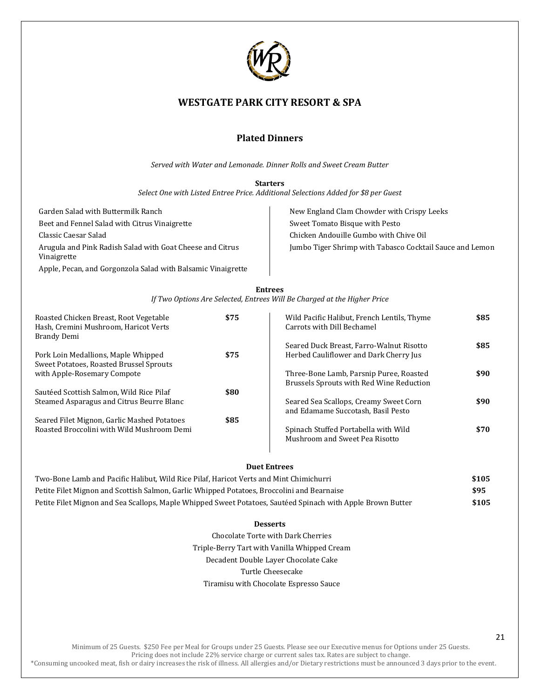

## **Plated Dinners**

*Served with Water and Lemonade. Dinner Rolls and Sweet Cream Butter*

**Starters**

*Select One with Listed Entree Price. Additional Selections Added for \$8 per Guest*

Garden Salad with Buttermilk Ranch Beet and Fennel Salad with Citrus Vinaigrette Classic Caesar Salad Arugula and Pink Radish Salad with Goat Cheese and Citrus Vinaigrette Apple, Pecan, and Gorgonzola Salad with Balsamic Vinaigrette New England Clam Chowder with Crispy Leeks Sweet Tomato Bisque with Pesto Chicken Andouille Gumbo with Chive Oil Jumbo Tiger Shrimp with Tabasco Cocktail Sauce and Lemon

| <b>Entrees</b>                                                           |  |
|--------------------------------------------------------------------------|--|
| If Two Options Are Selected, Entrees Will Be Charged at the Higher Price |  |

| Roasted Chicken Breast, Root Vegetable<br>Hash, Cremini Mushroom, Haricot Verts<br>Brandy Demi | \$75 | Wild Pacific Halibut, French Lentils, Thyme<br>Carrots with Dill Bechamel           | \$85 |
|------------------------------------------------------------------------------------------------|------|-------------------------------------------------------------------------------------|------|
|                                                                                                |      | Seared Duck Breast, Farro-Walnut Risotto                                            | \$85 |
| Pork Loin Medallions, Maple Whipped<br>Sweet Potatoes, Roasted Brussel Sprouts                 | \$75 | Herbed Cauliflower and Dark Cherry Jus                                              |      |
| with Apple-Rosemary Compote                                                                    |      | Three-Bone Lamb, Parsnip Puree, Roasted<br>Brussels Sprouts with Red Wine Reduction | \$90 |
| Sautéed Scottish Salmon, Wild Rice Pilaf                                                       | \$80 |                                                                                     |      |
| Steamed Asparagus and Citrus Beurre Blanc                                                      |      | Seared Sea Scallops, Creamy Sweet Corn<br>and Edamame Succotash, Basil Pesto        | \$90 |
| Seared Filet Mignon, Garlic Mashed Potatoes                                                    | \$85 |                                                                                     |      |
| Roasted Broccolini with Wild Mushroom Demi                                                     |      | Spinach Stuffed Portabella with Wild<br>Mushroom and Sweet Pea Risotto              | \$70 |
|                                                                                                |      |                                                                                     |      |

#### **Duet Entrees**

| Two-Bone Lamb and Pacific Halibut, Wild Rice Pilaf, Haricot Verts and Mint Chimichurri                      | \$105 |
|-------------------------------------------------------------------------------------------------------------|-------|
| Petite Filet Mignon and Scottish Salmon, Garlic Whipped Potatoes, Broccolini and Bearnaise                  | \$95  |
| Petite Filet Mignon and Sea Scallops, Maple Whipped Sweet Potatoes, Sautéed Spinach with Apple Brown Butter | \$105 |

#### **Desserts**

Chocolate Torte with Dark Cherries Triple-Berry Tart with Vanilla Whipped Cream Decadent Double Layer Chocolate Cake Turtle Cheesecake Tiramisu with Chocolate Espresso Sauce

Minimum of 25 Guests. \$250 Fee per Meal for Groups under 25 Guests. Please see our Executive menus for Options under 25 Guests. Pricing does not include 22% service charge or current sales tax. Rates are subject to change.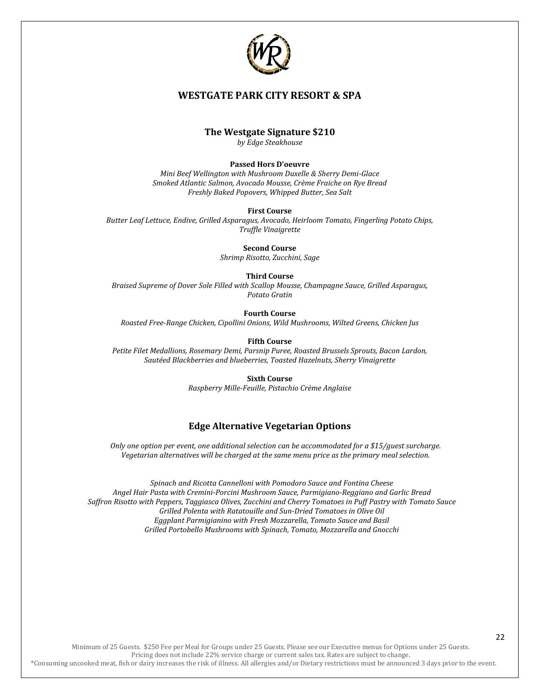

#### **The Westgate Signature \$210**

*by Edge Steakhouse*

#### **Passed Hors D'oeuvre**

*Mini Beef Wellington with Mushroom Duxelle & Sherry Demi-Glace Smoked Atlantic Salmon, Avocado Mousse, Crème Fraiche on Rye Bread Freshly Baked Popovers, Whipped Butter, Sea Salt*

#### **First Course**

*Butter Leaf Lettuce, Endive, Grilled Asparagus, Avocado, Heirloom Tomato, Fingerling Potato Chips, Truffle Vinaigrette*

**Second Course**

*Shrimp Risotto, Zucchini, Sage*

#### **Third Course**

*Braised Supreme of Dover Sole Filled with Scallop Mousse, Champagne Sauce, Grilled Asparagus, Potato Gratin*

**Fourth Course**

*Roasted Free-Range Chicken, Cipollini Onions, Wild Mushrooms, Wilted Greens, Chicken Jus*

**Fifth Course**

*Petite Filet Medallions, Rosemary Demi, Parsnip Puree, Roasted Brussels Sprouts, Bacon Lardon, Sautéed Blackberries and blueberries, Toasted Hazelnuts, Sherry Vinaigrette*

> **Sixth Course** *Raspberry Mille-Feuille, Pistachio Crème Anglaise*

#### **Edge Alternative Vegetarian Options**

*Only one option per event, one additional selection can be accommodated for a \$15/guest surcharge. Vegetarian alternatives will be charged at the same menu price as the primary meal selection.* 

*Spinach and Ricotta Cannelloni with Pomodoro Sauce and Fontina Cheese Angel Hair Pasta with Cremini-Porcini Mushroom Sauce, Parmigiano-Reggiano and Garlic Bread Saffron Risotto with Peppers, Taggiasca Olives, Zucchini and Cherry Tomatoes in Puff Pastry with Tomato Sauce Grilled Polenta with Ratatouille and Sun-Dried Tomatoes in Olive Oil Eggplant Parmigianino with Fresh Mozzarella, Tomato Sauce and Basil Grilled Portobello Mushrooms with Spinach, Tomato, Mozzarella and Gnocchi*